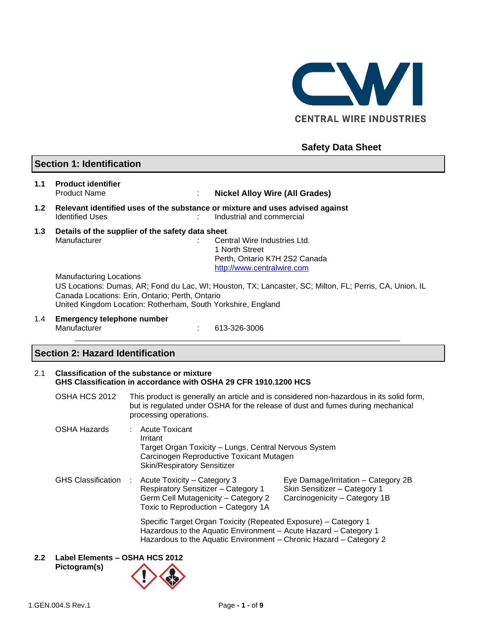

# **Safety Data Sheet**

# **Section 1: Identification**

- **1.1 Product identifier** Product Name : **Nickel Alloy Wire (All Grades) 1.2 Relevant identified uses of the substance or mixture and uses advised against**
- Identified Uses **industrial and commercial**
- **1.3 Details of the supplier of the safety data sheet** Manufacturer **in the Central Wire Industries Ltd.** Central Wire Industries Ltd. 1 North Street

Perth, Ontario K7H 2S2 Canada [http://www.centralwire.com](http://www.centralwire.com/)

Manufacturing Locations

US Locations: Dumas, AR; Fond du Lac, WI; Houston, TX; Lancaster, SC; Milton, FL; Perris, CA, Union, IL Canada Locations: Erin, Ontario; Perth, Ontario United Kingdom Location: Rotherham, South Yorkshire, England

1.4 **Emergency telephone number** Manufacturer : 613-326-3006

# **Section 2: Hazard Identification**

#### 2.1 **Classification of the substance or mixture GHS Classification in accordance with OSHA 29 CFR 1910.1200 HCS**

- OSHA HCS 2012 This product is generally an article and is considered non-hazardous in its solid form, but is regulated under OSHA for the release of dust and fumes during mechanical processing operations.
- OSHA Hazards : Acute Toxicant Irritant Target Organ Toxicity – Lungs, Central Nervous System Carcinogen Reproductive Toxicant Mutagen Skin/Respiratory Sensitizer GHS Classification : Acute Toxicity – Category 3 Eye Damage/Irritation – Category 2B

Respiratory Sensitizer – Category 1 Skin Sensitizer – Category 1 Germ Cell Mutagenicity – Category 2 Carcinogenicity – Category 1B Toxic to Reproduction – Category 1A

> Specific Target Organ Toxicity (Repeated Exposure) – Category 1 Hazardous to the Aquatic Environment – Acute Hazard – Category 1 Hazardous to the Aquatic Environment – Chronic Hazard – Category 2

#### **2.2 Label Elements – OSHA HCS 2012 Pictogram(s)**

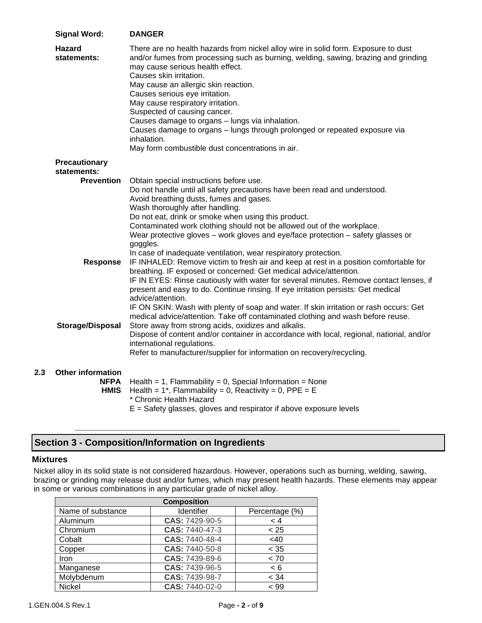| <b>Signal Word:</b>                                    | <b>DANGER</b>                                                                                                                                                                                                                                                                                                                                                                                                                                                                                                                                                                                                  |
|--------------------------------------------------------|----------------------------------------------------------------------------------------------------------------------------------------------------------------------------------------------------------------------------------------------------------------------------------------------------------------------------------------------------------------------------------------------------------------------------------------------------------------------------------------------------------------------------------------------------------------------------------------------------------------|
| <b>Hazard</b><br>statements:                           | There are no health hazards from nickel alloy wire in solid form. Exposure to dust<br>and/or fumes from processing such as burning, welding, sawing, brazing and grinding<br>may cause serious health effect.<br>Causes skin irritation.<br>May cause an allergic skin reaction.<br>Causes serious eye irritation.<br>May cause respiratory irritation.<br>Suspected of causing cancer.<br>Causes damage to organs - lungs via inhalation.<br>Causes damage to organs - lungs through prolonged or repeated exposure via<br>inhalation.<br>May form combustible dust concentrations in air.                    |
| <b>Precautionary</b><br>statements:                    |                                                                                                                                                                                                                                                                                                                                                                                                                                                                                                                                                                                                                |
| <b>Prevention</b>                                      | Obtain special instructions before use.<br>Do not handle until all safety precautions have been read and understood.<br>Avoid breathing dusts, fumes and gases.<br>Wash thoroughly after handling.<br>Do not eat, drink or smoke when using this product.<br>Contaminated work clothing should not be allowed out of the workplace.<br>Wear protective gloves - work gloves and eye/face protection - safety glasses or<br>goggles.                                                                                                                                                                            |
| <b>Response</b>                                        | In case of inadequate ventilation, wear respiratory protection.<br>IF INHALED: Remove victim to fresh air and keep at rest in a position comfortable for<br>breathing. IF exposed or concerned: Get medical advice/attention.<br>IF IN EYES: Rinse cautiously with water for several minutes. Remove contact lenses, if<br>present and easy to do. Continue rinsing. If eye irritation persists: Get medical<br>advice/attention.<br>IF ON SKIN: Wash with plenty of soap and water. If skin irritation or rash occurs: Get<br>medical advice/attention. Take off contaminated clothing and wash before reuse. |
| Storage/Disposal                                       | Store away from strong acids, oxidizes and alkalis.<br>Dispose of content and/or container in accordance with local, regional, national, and/or<br>international regulations.<br>Refer to manufacturer/supplier for information on recovery/recycling.                                                                                                                                                                                                                                                                                                                                                         |
| <b>Other information</b><br><b>NFPA</b><br><b>HMIS</b> | Health = 1, Flammability = 0, Special Information = None<br>Health = $1^*$ , Flammability = 0, Reactivity = 0, PPE = E<br>* Chronic Health Hazard<br>E = Safety glasses, gloves and respirator if above exposure levels                                                                                                                                                                                                                                                                                                                                                                                        |

# **Section 3 - Composition/Information on Ingredients**

### **Mixtures**

**2.3** 

Nickel alloy in its solid state is not considered hazardous. However, operations such as burning, welding, sawing, brazing or grinding may release dust and/or fumes, which may present health hazards. These elements may appear in some or various combinations in any particular grade of nickel alloy.

| <b>Composition</b> |                |                |  |  |
|--------------------|----------------|----------------|--|--|
| Name of substance  | Identifier     | Percentage (%) |  |  |
| Aluminum           | CAS: 7429-90-5 | < 4            |  |  |
| Chromium           | CAS: 7440-47-3 | < 25           |  |  |
| Cobalt             | CAS: 7440-48-4 | <40            |  |  |
| Copper             | CAS: 7440-50-8 | < 35           |  |  |
| Iron               | CAS: 7439-89-6 | < 70           |  |  |
| Manganese          | CAS: 7439-96-5 | < 6            |  |  |
| Molybdenum         | CAS: 7439-98-7 | < 34           |  |  |
| <b>Nickel</b>      | CAS: 7440-02-0 | < 99           |  |  |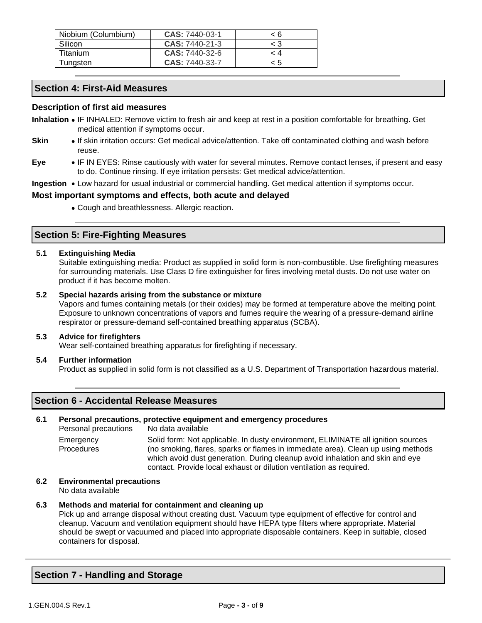| Niobium (Columbium) | <b>CAS: 7440-03-1</b> | < 6   |
|---------------------|-----------------------|-------|
| Silicon             | <b>CAS: 7440-21-3</b> | $<$ 3 |
| Titanium            | <b>CAS: 7440-32-6</b> | - 4   |
| Tungsten            | <b>CAS: 7440-33-7</b> | < 5   |

# **Section 4: First-Aid Measures**

## **Description of first aid measures**

- **Inhalation** IF INHALED: Remove victim to fresh air and keep at rest in a position comfortable for breathing. Get medical attention if symptoms occur.
- **Skin** If skin irritation occurs: Get medical advice/attention. Take off contaminated clothing and wash before reuse.
- **Eye** IF IN EYES: Rinse cautiously with water for several minutes. Remove contact lenses, if present and easy to do. Continue rinsing. If eye irritation persists: Get medical advice/attention.
- **Ingestion** Low hazard for usual industrial or commercial handling. Get medical attention if symptoms occur.

## **Most important symptoms and effects, both acute and delayed**

• Cough and breathlessness. Allergic reaction.

# **Section 5: Fire-Fighting Measures**

### **5.1 Extinguishing Media**

Suitable extinguishing media: Product as supplied in solid form is non-combustible. Use firefighting measures for surrounding materials. Use Class D fire extinguisher for fires involving metal dusts. Do not use water on product if it has become molten.

#### **5.2 Special hazards arising from the substance or mixture**

Vapors and fumes containing metals (or their oxides) may be formed at temperature above the melting point. Exposure to unknown concentrations of vapors and fumes require the wearing of a pressure-demand airline respirator or pressure-demand self-contained breathing apparatus (SCBA).

#### **5.3 Advice for firefighters**

Wear self-contained breathing apparatus for firefighting if necessary.

#### **5.4 Further information**

Product as supplied in solid form is not classified as a U.S. Department of Transportation hazardous material.

# **Section 6 - Accidental Release Measures**

#### **6.1 Personal precautions, protective equipment and emergency procedures**

Personal precautions No data available **Emergency Procedures** Solid form: Not applicable. In dusty environment, ELIMINATE all ignition sources (no smoking, flares, sparks or flames in immediate area). Clean up using methods which avoid dust generation. During cleanup avoid inhalation and skin and eye contact. Provide local exhaust or dilution ventilation as required.

# **6.2 Environmental precautions**

No data available

#### **6.3 Methods and material for containment and cleaning up**

Pick up and arrange disposal without creating dust. Vacuum type equipment of effective for control and cleanup. Vacuum and ventilation equipment should have HEPA type filters where appropriate. Material should be swept or vacuumed and placed into appropriate disposable containers. Keep in suitable, closed containers for disposal.

# **Section 7 - Handling and Storage**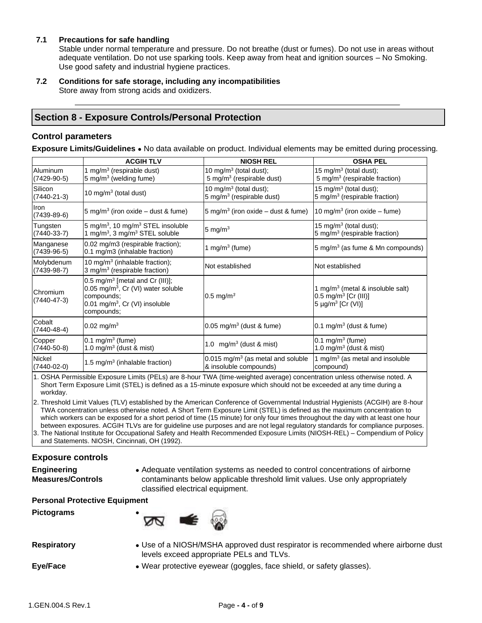### **7.1 Precautions for safe handling**

Stable under normal temperature and pressure. Do not breathe (dust or fumes). Do not use in areas without adequate ventilation. Do not use sparking tools. Keep away from heat and ignition sources – No Smoking. Use good safety and industrial hygiene practices.

**7.2 Conditions for safe storage, including any incompatibilities** Store away from strong acids and oxidizers.

# **Section 8 - Exposure Controls/Personal Protection**

### **Control parameters**

**Exposure Limits/Guidelines** • No data available on product. Individual elements may be emitted during processing.

|                                      | <b>ACGIH TLV</b>                                                                                                                                                          | <b>NIOSH REL</b>                                                            | <b>OSHA PEL</b>                                                                                                        |
|--------------------------------------|---------------------------------------------------------------------------------------------------------------------------------------------------------------------------|-----------------------------------------------------------------------------|------------------------------------------------------------------------------------------------------------------------|
| Aluminum<br>$(7429-90-5)$            | 1 mg/m <sup>3</sup> (respirable dust)<br>5 mg/m <sup>3</sup> (welding fume)                                                                                               | 10 mg/m $3$ (total dust);<br>5 mg/m <sup>3</sup> (respirable dust)          | 15 mg/m <sup>3</sup> (total dust);<br>5 mg/m <sup>3</sup> (respirable fraction)                                        |
| Silicon<br>$(7440 - 21 - 3)$         | 10 mg/m $3$ (total dust)                                                                                                                                                  | 10 mg/m <sup>3</sup> (total dust);<br>5 mg/m <sup>3</sup> (respirable dust) | 15 mg/m <sup>3</sup> (total dust);<br>5 mg/m <sup>3</sup> (respirable fraction)                                        |
| Iron<br>$(7439-89-6)$                | 5 mg/m <sup>3</sup> (iron oxide – dust & fume)                                                                                                                            | 5 mg/m <sup>3</sup> (iron oxide $-$ dust & fume)                            | 10 mg/m <sup>3</sup> (iron oxide – fume)                                                                               |
| Tungsten<br>$(7440-33-7)$            | 5 mg/m <sup>3</sup> , 10 mg/m <sup>3</sup> STEL insoluble<br>1 mg/m <sup>3</sup> , 3 mg/m <sup>3</sup> STEL soluble                                                       | 5 mg/ $m3$                                                                  | 15 mg/m <sup>3</sup> (total dust);<br>5 mg/m $3$ (respirable fraction)                                                 |
| Manganese<br>$(7439-96-5)$           | 0.02 mg/m3 (respirable fraction);<br>0.1 mg/m3 (inhalable fraction)                                                                                                       | 1 mg/m $3$ (fume)                                                           | 5 mg/m <sup>3</sup> (as fume $\&$ Mn compounds)                                                                        |
| Molybdenum<br>$(7439-98-7)$          | 10 mg/m <sup>3</sup> (inhalable fraction);<br>3 mg/m <sup>3</sup> (respirable fraction)                                                                                   | Not established                                                             | Not established                                                                                                        |
| <b>Chromium</b><br>$(7440 - 47 - 3)$ | 0.5 mg/m <sup>3</sup> [metal and Cr (III)];<br>$0.05$ mg/m <sup>3</sup> , Cr (VI) water soluble<br>compounds:<br>0.01 mg/m <sup>3</sup> , Cr (VI) insoluble<br>compounds; | 0.5 mg/m <sup>3</sup>                                                       | 1 mg/m <sup>3</sup> (metal & insoluble salt)<br>0.5 mg/m <sup>3</sup> [Cr (III)]<br>5 $\mu$ g/m <sup>3</sup> [Cr (VI)] |
| Cobalt<br>$(7440 - 48 - 4)$          | 0.02 mg/m <sup>3</sup>                                                                                                                                                    | $0.05$ mg/m <sup>3</sup> (dust & fume)                                      | 0.1 mg/m <sup>3</sup> (dust & fume)                                                                                    |
| Copper<br>$(7440 - 50 - 8)$          | 0.1 mg/m <sup>3</sup> (fume)<br>1.0 mg/m <sup>3</sup> (dust & mist)                                                                                                       | 1.0 $mg/m3$ (dust & mist)                                                   | $0.1 \text{ mg/m}^3$ (fume)<br>1.0 mg/m <sup>3</sup> (dust & mist)                                                     |
| Nickel<br>$(7440-02-0)$              | 1.5 mg/m <sup>3</sup> (inhalable fraction)                                                                                                                                | $0.015$ mg/m <sup>3</sup> (as metal and soluble<br>& insoluble compounds)   | 1 mg/m $3$ (as metal and insoluble<br>compound)                                                                        |

1. OSHA Permissible Exposure Limits (PELs) are 8-hour TWA (time-weighted average) concentration unless otherwise noted. A Short Term Exposure Limit (STEL) is defined as a 15-minute exposure which should not be exceeded at any time during a workday.

2. Threshold Limit Values (TLV) established by the American Conference of Governmental Industrial Hygienists (ACGIH) are 8-hour TWA concentration unless otherwise noted. A Short Term Exposure Limit (STEL) is defined as the maximum concentration to which workers can be exposed for a short period of time (15 minute) for only four times throughout the day with at least one hour between exposures. ACGIH TLVs are for guideline use purposes and are not legal regulatory standards for compliance purposes. 3. The National Institute for Occupational Safety and Health Recommended Exposure Limits (NIOSH-REL) – Compendium of Policy

and Statements. NIOSH, Cincinnati, OH (1992).

## **Exposure controls**

**Engineering Measures/Controls** • Adequate ventilation systems as needed to control concentrations of airborne contaminants below applicable threshold limit values. Use only appropriately classified electrical equipment.

#### **Personal Protective Equipment**

**Pictograms** •



**Respiratory** • Use of a NIOSH/MSHA approved dust respirator is recommended where airborne dust levels exceed appropriate PELs and TLVs.

**Eye/Face** • **•** Wear protective eyewear (goggles, face shield, or safety glasses).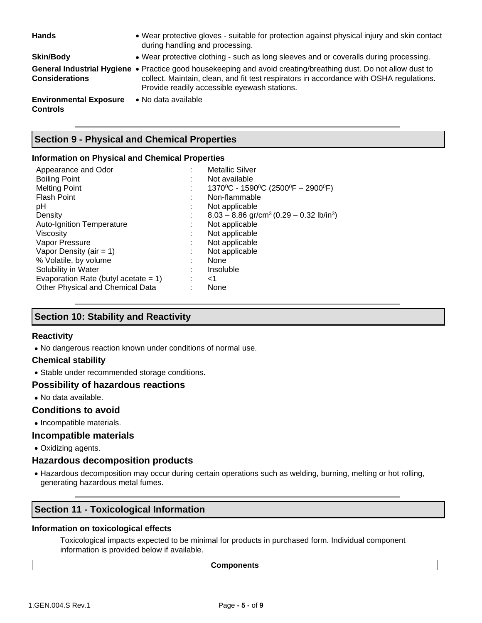| <b>Hands</b>                                     | • Wear protective gloves - suitable for protection against physical injury and skin contact<br>during handling and processing.                                                                                                                             |
|--------------------------------------------------|------------------------------------------------------------------------------------------------------------------------------------------------------------------------------------------------------------------------------------------------------------|
| <b>Skin/Body</b>                                 | • Wear protective clothing - such as long sleeves and or coveralls during processing.                                                                                                                                                                      |
| <b>Considerations</b>                            | General Industrial Hygiene • Practice good housekeeping and avoid creating/breathing dust. Do not allow dust to<br>collect. Maintain, clean, and fit test respirators in accordance with OSHA regulations.<br>Provide readily accessible eyewash stations. |
| <b>Environmental Exposure</b><br><b>Controls</b> | • No data available                                                                                                                                                                                                                                        |

# **Section 9 - Physical and Chemical Properties**

## **Information on Physical and Chemical Properties**

| Appearance and Odor                     |   | <b>Metallic Silver</b>                                             |
|-----------------------------------------|---|--------------------------------------------------------------------|
| <b>Boiling Point</b>                    | ٠ | Not available                                                      |
| <b>Melting Point</b>                    | ٠ | 1370°C - 1590°C (2500°F - 2900°F)                                  |
| <b>Flash Point</b>                      |   | Non-flammable                                                      |
| pH                                      |   | Not applicable                                                     |
| Density                                 | ٠ | $8.03 - 8.86$ gr/cm <sup>3</sup> (0.29 - 0.32 lb/in <sup>3</sup> ) |
| <b>Auto-Ignition Temperature</b>        | ٠ | Not applicable                                                     |
| Viscosity                               |   | Not applicable                                                     |
| Vapor Pressure                          |   | Not applicable                                                     |
| Vapor Density (air = $1$ )              |   | Not applicable                                                     |
| % Volatile, by volume                   |   | None                                                               |
| Solubility in Water                     | ٠ | Insoluble                                                          |
| Evaporation Rate (butyl acetate $= 1$ ) |   | ا>                                                                 |
| Other Physical and Chemical Data        |   | None                                                               |

# **Section 10: Stability and Reactivity**

# **Reactivity**

• No dangerous reaction known under conditions of normal use.

## **Chemical stability**

• Stable under recommended storage conditions.

## **Possibility of hazardous reactions**

• No data available.

## **Conditions to avoid**

• Incompatible materials.

## **Incompatible materials**

• Oxidizing agents.

# **Hazardous decomposition products**

• Hazardous decomposition may occur during certain operations such as welding, burning, melting or hot rolling, generating hazardous metal fumes.

# **Section 11 - Toxicological Information**

## **Information on toxicological effects**

Toxicological impacts expected to be minimal for products in purchased form. Individual component information is provided below if available.

#### **Components**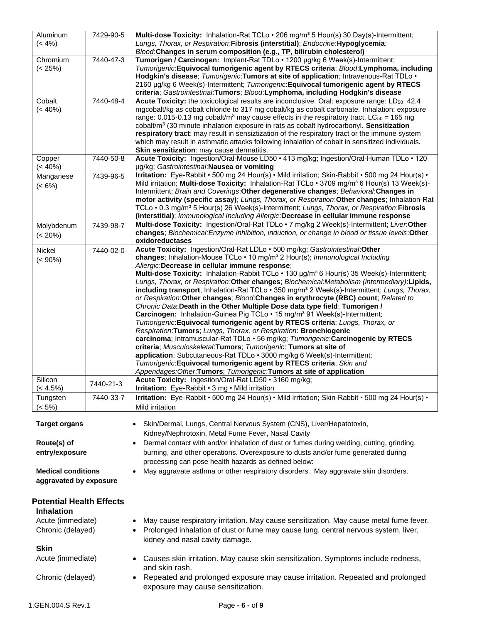| Aluminum                         | 7429-90-5 | Multi-dose Toxicity: Inhalation-Rat TCLo . 206 mg/m <sup>3</sup> 5 Hour(s) 30 Day(s)-Intermittent;                                                                                                          |
|----------------------------------|-----------|-------------------------------------------------------------------------------------------------------------------------------------------------------------------------------------------------------------|
| $(< 4\%)$                        |           | Lungs, Thorax, or Respiration: Fibrosis (interstitial); Endocrine: Hypoglycemia;<br>Blood: Changes in serum composition (e.g., TP, bilirubin cholesterol)                                                   |
| Chromium                         | 7440-47-3 | Tumorigen / Carcinogen: Implant-Rat TDLo · 1200 µg/kg 6 Week(s)-Intermittent;                                                                                                                               |
| $(< 25\%)$                       |           | Tumorigenic: Equivocal tumorigenic agent by RTECS criteria; Blood: Lymphoma, including<br>Hodgkin's disease; Tumorigenic: Tumors at site of application; Intravenous-Rat TDLo .                             |
|                                  |           | 2160 µg/kg 6 Week(s)-Intermittent; Tumorigenic: Equivocal tumorigenic agent by RTECS                                                                                                                        |
| Cobalt                           | 7440-48-4 | criteria; Gastrointestinal:Tumors; Blood:Lymphoma, including Hodgkin's disease<br>Acute Toxicity: the toxicological results are inconclusive. Oral: exposure range: LD <sub>50</sub> : 42.4                 |
| $(< 40\%)$                       |           | mgcobalt/kg as cobalt chloride to 317 mg cobalt/kg as cobalt carbonate. Inhalation: exposure                                                                                                                |
|                                  |           | range: 0.015-0.13 mg cobalt/m <sup>3</sup> may cause effects in the respiratory tract. LC <sub>50</sub> = 165 mg                                                                                            |
|                                  |           | cobalt/ $m3$ (30 minute inhalation exposure in rats as cobalt hydrocarbonyl. Sensitization<br>respiratory tract: may result in sensiztization of the respiratory tract or the immune system                 |
|                                  |           | which may result in asthmatic attacks following inhalation of cobalt in sensitized individuals.                                                                                                             |
|                                  | 7440-50-8 | Skin sensitization: may cause dermatitis.<br>Acute Toxicity: Ingestion/Oral-Mouse LD50 · 413 mg/kg; Ingestion/Oral-Human TDLo · 120                                                                         |
| Copper<br>$(< 40\%)$             |           | µg/kg; Gastrointestinal: Nausea or vomiting                                                                                                                                                                 |
| Manganese                        | 7439-96-5 | Irritation: Eye-Rabbit • 500 mg 24 Hour(s) • Mild irritation; Skin-Rabbit • 500 mg 24 Hour(s) •<br>Mild irritation; Multi-dose Toxicity: Inhalation-Rat TCLo • 3709 mg/m <sup>3</sup> 6 Hour(s) 13 Week(s)- |
| $(< 6\%)$                        |           | Intermittent; Brain and Coverings: Other degenerative changes; Behavioral: Changes in                                                                                                                       |
|                                  |           | motor activity (specific assay); Lungs, Thorax, or Respiration: Other changes; Inhalation-Rat                                                                                                               |
|                                  |           | TCLo . 0.3 mg/m <sup>3</sup> 5 Hour(s) 26 Week(s)-Intermittent; Lungs, Thorax, or Respiration: Fibrosis<br>(interstitial); Immunological Including Allergic:Decrease in cellular immune response            |
| Molybdenum                       | 7439-98-7 | Multi-dose Toxicity: Ingestion/Oral-Rat TDLo · 7 mg/kg 2 Week(s)-Intermittent; Liver.Other                                                                                                                  |
| $(< 20\%)$                       |           | changes; Biochemical: Enzyme inhibition, induction, or change in blood or tissue levels: Other<br>oxidoreductases                                                                                           |
| Nickel                           | 7440-02-0 | Acute Toxicity: Ingestion/Oral-Rat LDLo . 500 mg/kg; Gastrointestinal:Other                                                                                                                                 |
| $(< 90\%)$                       |           | changes; Inhalation-Mouse TCLo · 10 mg/m <sup>3</sup> 2 Hour(s); Immunological Including<br>Allergic: Decrease in cellular immune response;                                                                 |
|                                  |           | Multi-dose Toxicity: Inhalation-Rabbit TCLo • 130 µg/m <sup>3</sup> 6 Hour(s) 35 Week(s)-Intermittent;                                                                                                      |
|                                  |           | Lungs, Thorax, or Respiration: Other changes; Biochemical: Metabolism (intermediary): Lipids,                                                                                                               |
|                                  |           | including transport; Inhalation-Rat TCLo . 350 mg/m <sup>3</sup> 2 Week(s)-Intermittent; Lungs, Thorax,<br>or Respiration: Other changes; Blood: Changes in erythrocyte (RBC) count; Related to             |
|                                  |           | Chronic Data: Death in the Other Multiple Dose data type field; Tumorigen /                                                                                                                                 |
|                                  |           | Carcinogen: Inhalation-Guinea Pig TCLo . 15 mg/m <sup>3</sup> 91 Week(s)-Intermittent;                                                                                                                      |
|                                  |           | Tumorigenic: Equivocal tumorigenic agent by RTECS criteria; Lungs, Thorax, or<br>Respiration: Tumors; Lungs, Thorax, or Respiration: Bronchiogenic                                                          |
|                                  |           | carcinoma; Intramuscular-Rat TDLo · 56 mg/kg; Tumorigenic:Carcinogenic by RTECS                                                                                                                             |
|                                  |           | criteria; Musculoskeletal:Tumors; Tumorigenic: Tumors at site of<br>application; Subcutaneous-Rat TDLo · 3000 mg/kg 6 Week(s)-Intermittent;                                                                 |
|                                  |           | Tumorigenic: Equivocal tumorigenic agent by RTECS criteria; Skin and                                                                                                                                        |
|                                  |           | Appendages: Other: Tumors; Tumorigenic: Tumors at site of application                                                                                                                                       |
| Silicon<br>$(< 4.5\%)$           | 7440-21-3 | Acute Toxicity: Ingestion/Oral-Rat LD50 · 3160 mg/kg;<br>Irritation: Eye-Rabbit • 3 mg • Mild irritation                                                                                                    |
| Tungsten                         | 7440-33-7 | Irritation: Eye-Rabbit • 500 mg 24 Hour(s) • Mild irritation; Skin-Rabbit • 500 mg 24 Hour(s) •                                                                                                             |
| $(< 5\%)$                        |           | Mild irritation                                                                                                                                                                                             |
| <b>Target organs</b>             |           | Skin/Dermal, Lungs, Central Nervous System (CNS), Liver/Hepatotoxin,                                                                                                                                        |
|                                  |           | Kidney/Nephrotoxin, Metal Fume Fever, Nasal Cavity                                                                                                                                                          |
| Route(s) of<br>entry/exposure    |           | Dermal contact with and/or inhalation of dust or fumes during welding, cutting, grinding,<br>burning, and other operations. Overexposure to dusts and/or fume generated during                              |
|                                  |           | processing can pose health hazards as defined below:                                                                                                                                                        |
| <b>Medical conditions</b>        |           | May aggravate asthma or other respiratory disorders. May aggravate skin disorders.                                                                                                                          |
| aggravated by exposure           |           |                                                                                                                                                                                                             |
| <b>Potential Health Effects</b>  |           |                                                                                                                                                                                                             |
| <b>Inhalation</b>                |           |                                                                                                                                                                                                             |
| Acute (immediate)                |           | May cause respiratory irritation. May cause sensitization. May cause metal fume fever.                                                                                                                      |
| Chronic (delayed)                |           | Prolonged inhalation of dust or fume may cause lung, central nervous system, liver,                                                                                                                         |
|                                  |           | kidney and nasal cavity damage.                                                                                                                                                                             |
| <b>Skin</b><br>Acute (immediate) |           | Causes skin irritation. May cause skin sensitization. Symptoms include redness,                                                                                                                             |
|                                  |           | and skin rash.                                                                                                                                                                                              |
| Chronic (delayed)                |           | Repeated and prolonged exposure may cause irritation. Repeated and prolonged                                                                                                                                |
|                                  |           | exposure may cause sensitization.                                                                                                                                                                           |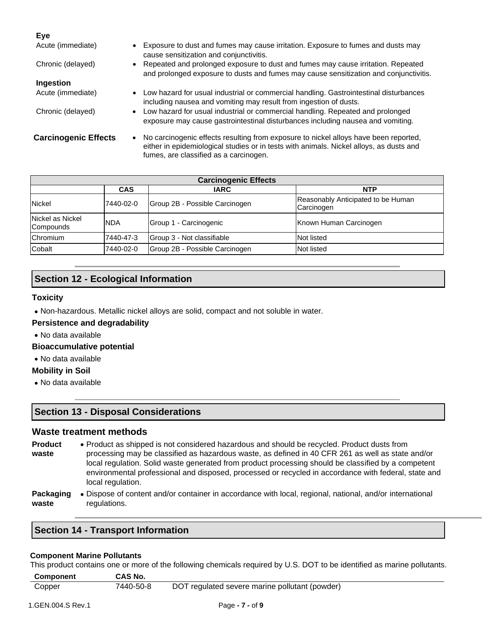| <b>Eye</b>                  |                                                                                                                                                                                                                                        |
|-----------------------------|----------------------------------------------------------------------------------------------------------------------------------------------------------------------------------------------------------------------------------------|
| Acute (immediate)           | • Exposure to dust and fumes may cause irritation. Exposure to fumes and dusts may<br>cause sensitization and conjunctivitis.                                                                                                          |
| Chronic (delayed)           | • Repeated and prolonged exposure to dust and fumes may cause irritation. Repeated<br>and prolonged exposure to dusts and fumes may cause sensitization and conjunctivitis.                                                            |
| Ingestion                   |                                                                                                                                                                                                                                        |
| Acute (immediate)           | • Low hazard for usual industrial or commercial handling. Gastrointestinal disturbances<br>including nausea and vomiting may result from ingestion of dusts.                                                                           |
| Chronic (delayed)           | • Low hazard for usual industrial or commercial handling. Repeated and prolonged<br>exposure may cause gastrointestinal disturbances including nausea and vomiting.                                                                    |
| <b>Carcinogenic Effects</b> | No carcinogenic effects resulting from exposure to nickel alloys have been reported,<br>$\bullet$<br>either in epidemiological studies or in tests with animals. Nickel alloys, as dusts and<br>fumes, are classified as a carcinogen. |

| <b>Carcinogenic Effects</b>   |            |                                |                                                  |
|-------------------------------|------------|--------------------------------|--------------------------------------------------|
|                               | <b>CAS</b> | <b>IARC</b>                    | <b>NTP</b>                                       |
| <b>Nickel</b>                 | 7440-02-0  | Group 2B - Possible Carcinogen | Reasonably Anticipated to be Human<br>Carcinogen |
| Nickel as Nickel<br>Compounds | <b>NDA</b> | Group 1 - Carcinogenic         | Known Human Carcinogen                           |
| Chromium                      | 7440-47-3  | Group 3 - Not classifiable     | Not listed                                       |
| Cobalt                        | 7440-02-0  | Group 2B - Possible Carcinogen | Not listed                                       |

# **Section 12 - Ecological Information**

## **Toxicity**

• Non-hazardous. Metallic nickel alloys are solid, compact and not soluble in water.

## **Persistence and degradability**

• No data available

## **Bioaccumulative potential**

• No data available

# **Mobility in Soil**

• No data available

# **Section 13 - Disposal Considerations**

# **Waste treatment methods**

- **Product waste** • Product as shipped is not considered hazardous and should be recycled. Product dusts from processing may be classified as hazardous waste, as defined in 40 CFR 261 as well as state and/or local regulation. Solid waste generated from product processing should be classified by a competent environmental professional and disposed, processed or recycled in accordance with federal, state and local regulation.
- **Packaging waste** • Dispose of content and/or container in accordance with local, regional, national, and/or international regulations.

# **Section 14 - Transport Information**

## **Component Marine Pollutants**

This product contains one or more of the following chemicals required by U.S. DOT to be identified as marine pollutants.

| <b>Component</b> | <b>CAS No.</b> |                                                |
|------------------|----------------|------------------------------------------------|
| Copper           | 7440-50-8      | DOT regulated severe marine pollutant (powder) |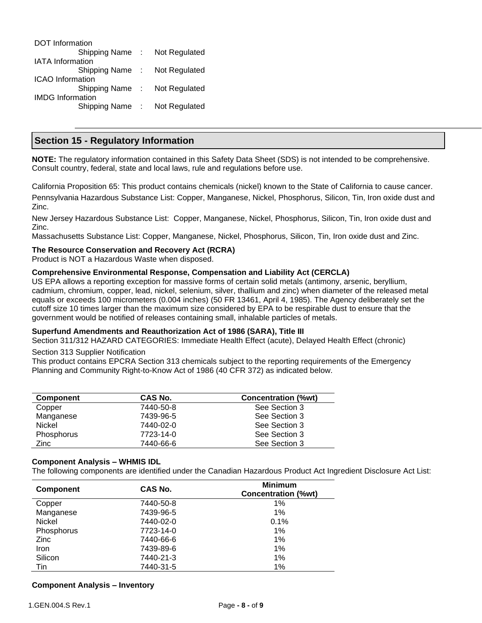| DOT Information         |               |
|-------------------------|---------------|
| Shipping Name:          | Not Regulated |
| <b>IATA Information</b> |               |
| Shipping Name:          | Not Regulated |
| <b>ICAO</b> Information |               |
| Shipping Name:          | Not Regulated |
| <b>IMDG</b> Information |               |
| Shipping Name:          | Not Regulated |
|                         |               |

# **Section 15 - Regulatory Information**

**NOTE:** The regulatory information contained in this Safety Data Sheet (SDS) is not intended to be comprehensive. Consult country, federal, state and local laws, rule and regulations before use.

California Proposition 65: This product contains chemicals (nickel) known to the State of California to cause cancer. Pennsylvania Hazardous Substance List: Copper, Manganese, Nickel, Phosphorus, Silicon, Tin, Iron oxide dust and Zinc.

New Jersey Hazardous Substance List: Copper, Manganese, Nickel, Phosphorus, Silicon, Tin, Iron oxide dust and Zinc.

Massachusetts Substance List: Copper, Manganese, Nickel, Phosphorus, Silicon, Tin, Iron oxide dust and Zinc.

#### **The Resource Conservation and Recovery Act (RCRA)**

Product is NOT a Hazardous Waste when disposed.

#### **Comprehensive Environmental Response, Compensation and Liability Act (CERCLA)**

US EPA allows a reporting exception for massive forms of certain solid metals (antimony, arsenic, beryllium, cadmium, chromium, copper, lead, nickel, selenium, silver, thallium and zinc) when diameter of the released metal equals or exceeds 100 micrometers (0.004 inches) (50 FR 13461, April 4, 1985). The Agency deliberately set the cutoff size 10 times larger than the maximum size considered by EPA to be respirable dust to ensure that the government would be notified of releases containing small, inhalable particles of metals.

#### **Superfund Amendments and Reauthorization Act of 1986 (SARA), Title III**

Section 311/312 HAZARD CATEGORIES: Immediate Health Effect (acute), Delayed Health Effect (chronic)

#### Section 313 Supplier Notification

This product contains EPCRA Section 313 chemicals subject to the reporting requirements of the Emergency Planning and Community Right-to-Know Act of 1986 (40 CFR 372) as indicated below.

| <b>Component</b> | CAS No.   | Concentration (%wt) |
|------------------|-----------|---------------------|
| Copper           | 7440-50-8 | See Section 3       |
| Manganese        | 7439-96-5 | See Section 3       |
| Nickel           | 7440-02-0 | See Section 3       |
| Phosphorus       | 7723-14-0 | See Section 3       |
| Zinc             | 7440-66-6 | See Section 3       |

#### **Component Analysis – WHMIS IDL**

The following components are identified under the Canadian Hazardous Product Act Ingredient Disclosure Act List:

| <b>Component</b> | CAS No.   | <b>Minimum</b><br><b>Concentration (%wt)</b> |  |
|------------------|-----------|----------------------------------------------|--|
| Copper           | 7440-50-8 | 1%                                           |  |
| Manganese        | 7439-96-5 | $1\%$                                        |  |
| <b>Nickel</b>    | 7440-02-0 | 0.1%                                         |  |
| Phosphorus       | 7723-14-0 | $1\%$                                        |  |
| Zinc             | 7440-66-6 | $1\%$                                        |  |
| Iron             | 7439-89-6 | 1%                                           |  |
| Silicon          | 7440-21-3 | 1%                                           |  |
| Tin              | 7440-31-5 | 1%                                           |  |

#### **Component Analysis – Inventory**